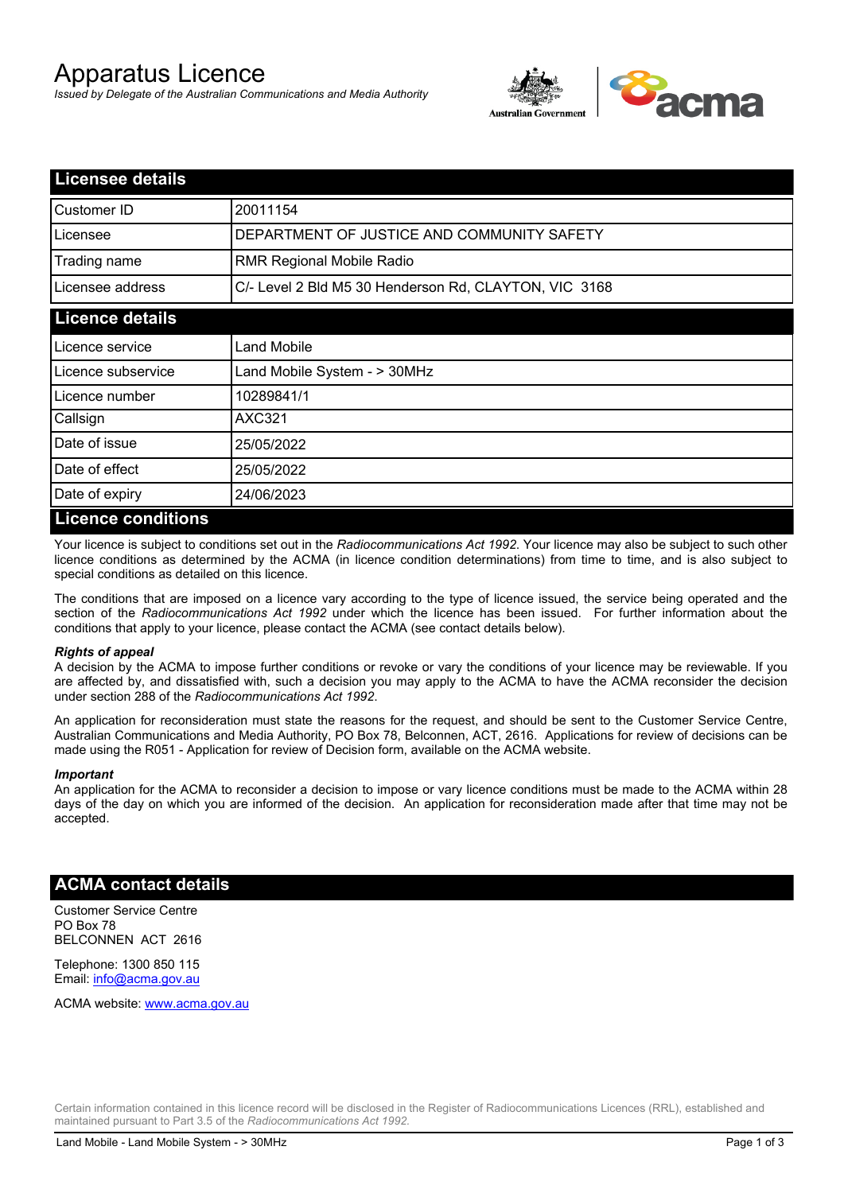# Apparatus Licence

*Issued by Delegate of the Australian Communications and Media Authority*



| <b>Licensee details</b> |                                                       |
|-------------------------|-------------------------------------------------------|
| Customer ID             | 20011154                                              |
| Licensee                | DEPARTMENT OF JUSTICE AND COMMUNITY SAFETY            |
| Trading name            | RMR Regional Mobile Radio                             |
| Licensee address        | C/- Level 2 Bld M5 30 Henderson Rd, CLAYTON, VIC 3168 |
| <b>Licence details</b>  |                                                       |
| l Licence service       | <b>Land Mobile</b>                                    |
| Licence subservice      | Land Mobile System - > 30MHz                          |
| l Licence number        | 10289841/1                                            |
| Callsign                | <b>AXC321</b>                                         |
| Date of issue           | 25/05/2022                                            |
| Date of effect          | 25/05/2022                                            |
| Date of expiry          | 24/06/2023                                            |
| Licance conditions      |                                                       |

### **Licence conditions**

Your licence is subject to conditions set out in the *Radiocommunications Act 1992*. Your licence may also be subject to such other licence conditions as determined by the ACMA (in licence condition determinations) from time to time, and is also subject to special conditions as detailed on this licence.

The conditions that are imposed on a licence vary according to the type of licence issued, the service being operated and the section of the *Radiocommunications Act 1992* under which the licence has been issued. For further information about the conditions that apply to your licence, please contact the ACMA (see contact details below).

### *Rights of appeal*

A decision by the ACMA to impose further conditions or revoke or vary the conditions of your licence may be reviewable. If you are affected by, and dissatisfied with, such a decision you may apply to the ACMA to have the ACMA reconsider the decision under section 288 of the *Radiocommunications Act 1992*.

An application for reconsideration must state the reasons for the request, and should be sent to the Customer Service Centre, Australian Communications and Media Authority, PO Box 78, Belconnen, ACT, 2616. Applications for review of decisions can be made using the R051 - Application for review of Decision form, available on the ACMA website.

#### *Important*

An application for the ACMA to reconsider a decision to impose or vary licence conditions must be made to the ACMA within 28 days of the day on which you are informed of the decision. An application for reconsideration made after that time may not be accepted.

### **ACMA contact details**

Customer Service Centre PO Box 78 BELCONNEN ACT 2616

Telephone: 1300 850 115 Email: info@acma.gov.au

ACMA website: www.acma.gov.au

Certain information contained in this licence record will be disclosed in the Register of Radiocommunications Licences (RRL), established and maintained pursuant to Part 3.5 of the *Radiocommunications Act 1992.*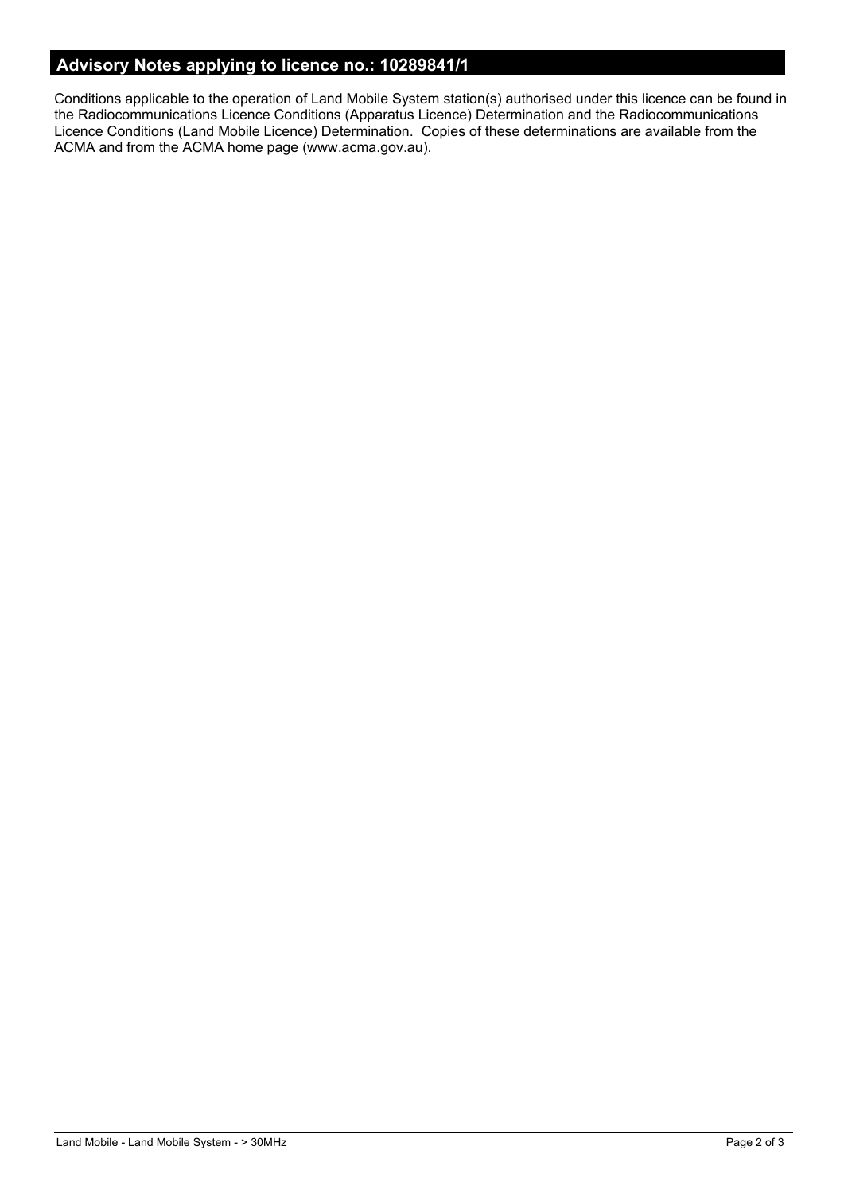## **Advisory Notes applying to licence no.: 10289841/1**

Conditions applicable to the operation of Land Mobile System station(s) authorised under this licence can be found in the Radiocommunications Licence Conditions (Apparatus Licence) Determination and the Radiocommunications Licence Conditions (Land Mobile Licence) Determination. Copies of these determinations are available from the ACMA and from the ACMA home page (www.acma.gov.au).